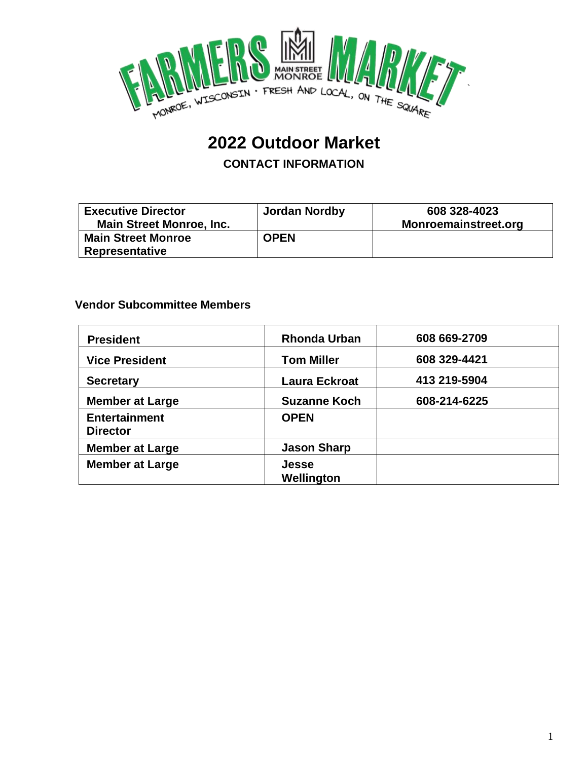

# **2022 Outdoor Market**

**CONTACT INFORMATION**

| <b>Executive Director</b>       | <b>Jordan Nordby</b> | 608 328-4023         |
|---------------------------------|----------------------|----------------------|
| <b>Main Street Monroe, Inc.</b> |                      | Monroemainstreet.org |
| <b>Main Street Monroe</b>       | <b>OPEN</b>          |                      |
| <b>Representative</b>           |                      |                      |

#### **Vendor Subcommittee Members**

| <b>President</b>                        | <b>Rhonda Urban</b>        | 608 669-2709<br>608 329-4421<br>413 219-5904 |  |  |
|-----------------------------------------|----------------------------|----------------------------------------------|--|--|
| <b>Vice President</b>                   | <b>Tom Miller</b>          |                                              |  |  |
| <b>Secretary</b>                        | <b>Laura Eckroat</b>       |                                              |  |  |
| <b>Member at Large</b>                  | <b>Suzanne Koch</b>        | 608-214-6225                                 |  |  |
| <b>Entertainment</b><br><b>Director</b> | <b>OPEN</b>                |                                              |  |  |
| <b>Member at Large</b>                  | <b>Jason Sharp</b>         |                                              |  |  |
| <b>Member at Large</b>                  | <b>Jesse</b><br>Wellington |                                              |  |  |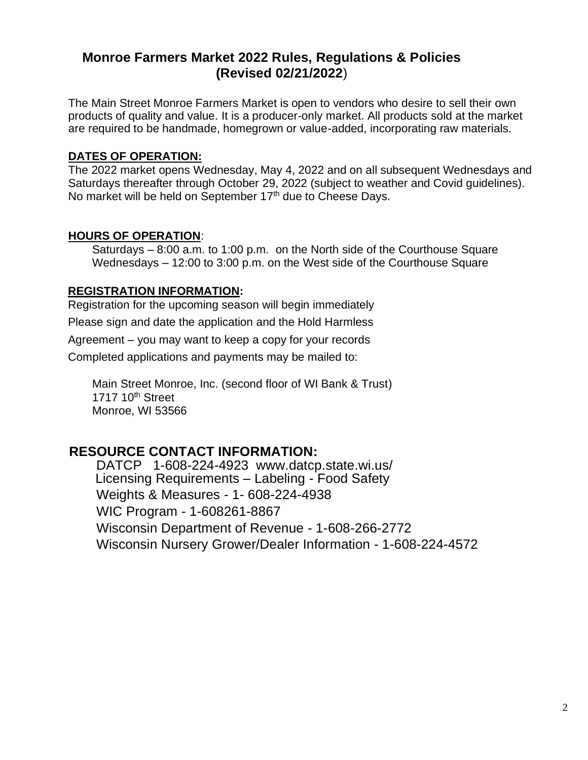### **Monroe Farmers Market 2022 Rules, Regulations & Policies (Revised 02/21/2022**)

The Main Street Monroe Farmers Market is open to vendors who desire to sell their own products of quality and value. It is a producer-only market. All products sold at the market are required to be handmade, homegrown or value-added, incorporating raw materials.

#### **DATES OF OPERATION:**

The 2022 market opens Wednesday, May 4, 2022 and on all subsequent Wednesdays and Saturdays thereafter through October 29, 2022 (subject to weather and Covid guidelines). No market will be held on September 17<sup>th</sup> due to Cheese Days.

#### **HOURS OF OPERATION**:

Saturdays – 8:00 a.m. to 1:00 p.m. on the North side of the Courthouse Square Wednesdays – 12:00 to 3:00 p.m. on the West side of the Courthouse Square

#### **REGISTRATION INFORMATION:**

Registration for the upcoming season will begin immediately

Please sign and date the application and the Hold Harmless

Agreement – you may want to keep a copy for your records

Completed applications and payments may be mailed to:

Main Street Monroe, Inc. (second floor of WI Bank & Trust) 1717 10<sup>th</sup> Street Monroe, WI 53566

#### **RESOURCE CONTACT INFORMATION:**

DATCP 1-608-224-4923 [www.datcp.state.wi.us/](http://www.datcp.state.wi.us/) Licensing Requirements – Labeling - Food Safety Weights & Measures - 1- 608-224-4938 WIC Program - 1-608261-8867 Wisconsin Department of Revenue - 1-608-266-2772 Wisconsin Nursery Grower/Dealer Information - 1-608-224-4572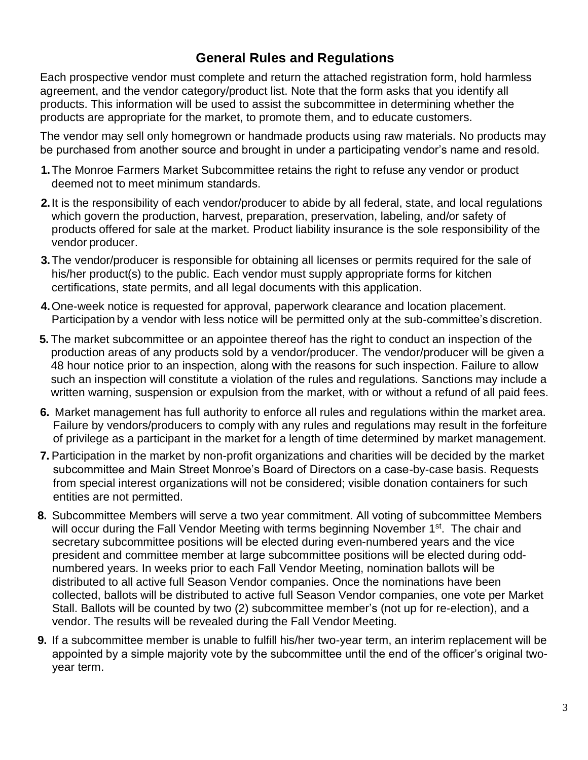# **General Rules and Regulations**

Each prospective vendor must complete and return the attached registration form, hold harmless agreement, and the vendor category/product list. Note that the form asks that you identify all products. This information will be used to assist the subcommittee in determining whether the products are appropriate for the market, to promote them, and to educate customers.

The vendor may sell only homegrown or handmade products using raw materials. No products may be purchased from another source and brought in under a participating vendor's name and resold.

- **1.**The Monroe Farmers Market Subcommittee retains the right to refuse any vendor or product deemed not to meet minimum standards.
- **2.**It is the responsibility of each vendor/producer to abide by all federal, state, and local regulations which govern the production, harvest, preparation, preservation, labeling, and/or safety of products offered for sale at the market. Product liability insurance is the sole responsibility of the vendor producer.
- **3.**The vendor/producer is responsible for obtaining all licenses or permits required for the sale of his/her product(s) to the public. Each vendor must supply appropriate forms for kitchen certifications, state permits, and all legal documents with this application.
- **4.**One-week notice is requested for approval, paperwork clearance and location placement. Participation by a vendor with less notice will be permitted only at the sub-committee's discretion.
- **5.** The market subcommittee or an appointee thereof has the right to conduct an inspection of the production areas of any products sold by a vendor/producer. The vendor/producer will be given a 48 hour notice prior to an inspection, along with the reasons for such inspection. Failure to allow such an inspection will constitute a violation of the rules and regulations. Sanctions may include a written warning, suspension or expulsion from the market, with or without a refund of all paid fees.
- **6.** Market management has full authority to enforce all rules and regulations within the market area. Failure by vendors/producers to comply with any rules and regulations may result in the forfeiture of privilege as a participant in the market for a length of time determined by market management.
- **7.** Participation in the market by non-profit organizations and charities will be decided by the market subcommittee and Main Street Monroe's Board of Directors on a case-by-case basis. Requests from special interest organizations will not be considered; visible donation containers for such entities are not permitted.
- **8.** Subcommittee Members will serve a two year commitment. All voting of subcommittee Members will occur during the Fall Vendor Meeting with terms beginning November 1<sup>st</sup>. The chair and secretary subcommittee positions will be elected during even-numbered years and the vice president and committee member at large subcommittee positions will be elected during oddnumbered years. In weeks prior to each Fall Vendor Meeting, nomination ballots will be distributed to all active full Season Vendor companies. Once the nominations have been collected, ballots will be distributed to active full Season Vendor companies, one vote per Market Stall. Ballots will be counted by two (2) subcommittee member's (not up for re-election), and a vendor. The results will be revealed during the Fall Vendor Meeting.
- **9.** If a subcommittee member is unable to fulfill his/her two-year term, an interim replacement will be appointed by a simple majority vote by the subcommittee until the end of the officer's original twoyear term.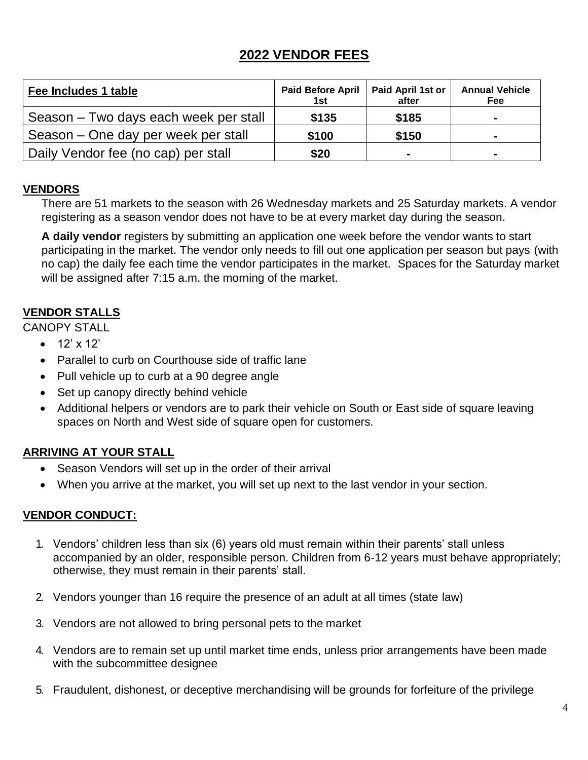## **2022 VENDOR FEES**

| Fee Includes 1 table                  | <b>Paid Before April</b><br>1st | Paid April 1st or<br>after   | <b>Annual Vehicle</b><br>Fee |
|---------------------------------------|---------------------------------|------------------------------|------------------------------|
| Season – Two days each week per stall | \$135                           | \$185                        |                              |
| Season – One day per week per stall   | \$100                           | \$150                        |                              |
| Daily Vendor fee (no cap) per stall   | \$20                            | $\qquad \qquad \blacksquare$ |                              |

#### **VENDORS**

There are 51 markets to the season with 26 Wednesday markets and 25 Saturday markets. A vendor registering as a season vendor does not have to be at every market day during the season.

**A daily vendor** registers by submitting an application one week before the vendor wants to start participating in the market. The vendor only needs to fill out one application per season but pays (with no cap) the daily fee each time the vendor participates in the market. Spaces for the Saturday market will be assigned after 7:15 a.m. the morning of the market.

#### **VENDOR STALLS**

CANOPY STALL

- $12' \times 12'$
- Parallel to curb on Courthouse side of traffic lane
- Pull vehicle up to curb at a 90 degree angle
- Set up canopy directly behind vehicle
- Additional helpers or vendors are to park their vehicle on South or East side of square leaving spaces on North and West side of square open for customers.

#### **ARRIVING AT YOUR STALL**

- Season Vendors will set up in the order of their arrival
- When you arrive at the market, you will set up next to the last vendor in your section.

#### **VENDOR CONDUCT:**

- 1. Vendors' children less than six (6) years old must remain within their parents' stall unless accompanied by an older, responsible person. Children from 6-12 years must behave appropriately; otherwise, they must remain in their parents' stall.
- 2. Vendors younger than 16 require the presence of an adult at all times (state law)
- 3. Vendors are not allowed to bring personal pets to the market
- 4. Vendors are to remain set up until market time ends, unless prior arrangements have been made with the subcommittee designee
- 5. Fraudulent, dishonest, or deceptive merchandising will be grounds for forfeiture of the privilege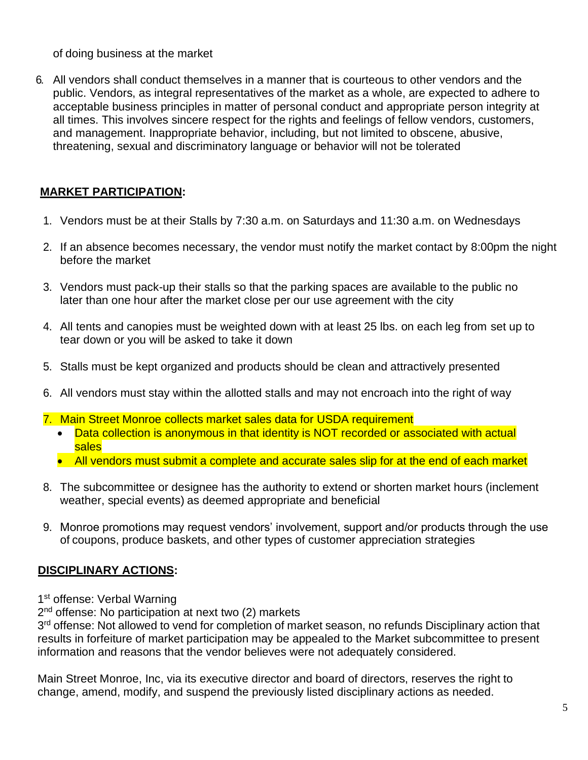of doing business at the market

6. All vendors shall conduct themselves in a manner that is courteous to other vendors and the public. Vendors, as integral representatives of the market as a whole, are expected to adhere to acceptable business principles in matter of personal conduct and appropriate person integrity at all times. This involves sincere respect for the rights and feelings of fellow vendors, customers, and management. Inappropriate behavior, including, but not limited to obscene, abusive, threatening, sexual and discriminatory language or behavior will not be tolerated

#### **MARKET PARTICIPATION:**

- 1. Vendors must be at their Stalls by 7:30 a.m. on Saturdays and 11:30 a.m. on Wednesdays
- 2. If an absence becomes necessary, the vendor must notify the market contact by 8:00pm the night before the market
- 3. Vendors must pack-up their stalls so that the parking spaces are available to the public no later than one hour after the market close per our use agreement with the city
- 4. All tents and canopies must be weighted down with at least 25 lbs. on each leg from set up to tear down or you will be asked to take it down
- 5. Stalls must be kept organized and products should be clean and attractively presented
- 6. All vendors must stay within the allotted stalls and may not encroach into the right of way
- 7. Main Street Monroe collects market sales data for USDA requirement
	- Data collection is anonymous in that identity is NOT recorded or associated with actual sales
	- All vendors must submit a complete and accurate sales slip for at the end of each market
- 8. The subcommittee or designee has the authority to extend or shorten market hours (inclement weather, special events) as deemed appropriate and beneficial
- 9. Monroe promotions may request vendors' involvement, support and/or products through the use of coupons, produce baskets, and other types of customer appreciation strategies

#### **DISCIPLINARY ACTIONS:**

1<sup>st</sup> offense: Verbal Warning

2<sup>nd</sup> offense: No participation at next two (2) markets

3<sup>rd</sup> offense: Not allowed to vend for completion of market season, no refunds Disciplinary action that results in forfeiture of market participation may be appealed to the Market subcommittee to present information and reasons that the vendor believes were not adequately considered.

Main Street Monroe, Inc, via its executive director and board of directors, reserves the right to change, amend, modify, and suspend the previously listed disciplinary actions as needed.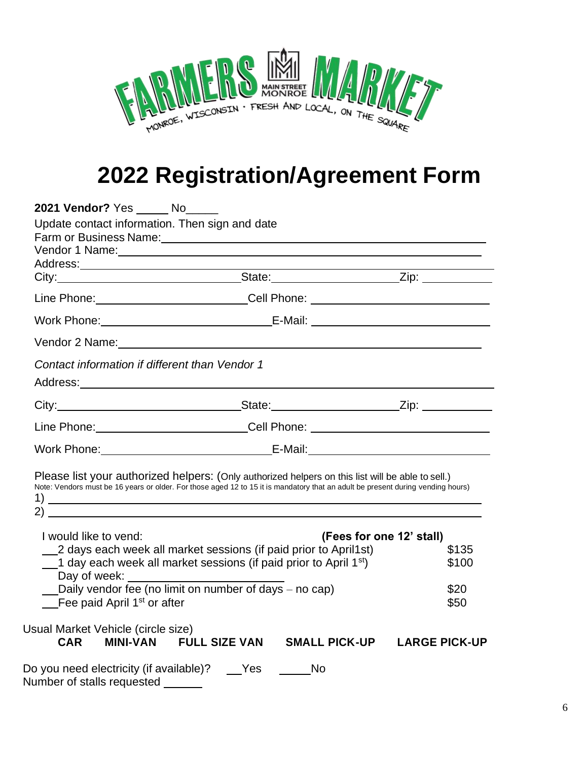

# **2022 Registration/Agreement Form**

| 2021 Vendor? Yes _____ No_____                                                                                                                                                                                                                                                         |                                                                                                                                                                                                                                      |                          |  |  |  |
|----------------------------------------------------------------------------------------------------------------------------------------------------------------------------------------------------------------------------------------------------------------------------------------|--------------------------------------------------------------------------------------------------------------------------------------------------------------------------------------------------------------------------------------|--------------------------|--|--|--|
| Update contact information. Then sign and date                                                                                                                                                                                                                                         |                                                                                                                                                                                                                                      |                          |  |  |  |
|                                                                                                                                                                                                                                                                                        | Farm or Business Name: Manual Account of the Contract of the Contract of the Contract of the Contract of the Contract of the Contract of the Contract of the Contract of the Contract of the Contract of the Contract of the C       |                          |  |  |  |
|                                                                                                                                                                                                                                                                                        | Vendor 1 Name: 2008 and 2009 and 2009 and 2009 and 2009 and 2009 and 2009 and 2009 and 2009 and 2009 and 2009                                                                                                                        |                          |  |  |  |
|                                                                                                                                                                                                                                                                                        |                                                                                                                                                                                                                                      |                          |  |  |  |
|                                                                                                                                                                                                                                                                                        | Line Phone: Cell Phone: Capaca Communication Communication Cell Phone:                                                                                                                                                               |                          |  |  |  |
|                                                                                                                                                                                                                                                                                        |                                                                                                                                                                                                                                      |                          |  |  |  |
|                                                                                                                                                                                                                                                                                        |                                                                                                                                                                                                                                      |                          |  |  |  |
| Contact information if different than Vendor 1<br>Address: <u>with a series of the series of the series of the series of the series of the series of the series of the series of the series of the series of the series of the series of the series of the series of the series of</u> |                                                                                                                                                                                                                                      |                          |  |  |  |
|                                                                                                                                                                                                                                                                                        |                                                                                                                                                                                                                                      |                          |  |  |  |
|                                                                                                                                                                                                                                                                                        | Line Phone: ____________________________Cell Phone: ____________________________                                                                                                                                                     |                          |  |  |  |
|                                                                                                                                                                                                                                                                                        |                                                                                                                                                                                                                                      |                          |  |  |  |
| 2) $\qquad \qquad$                                                                                                                                                                                                                                                                     | Please list your authorized helpers: (Only authorized helpers on this list will be able to sell.)<br>Note: Vendors must be 16 years or older. For those aged 12 to 15 it is mandatory that an adult be present during vending hours) |                          |  |  |  |
| I would like to vend:                                                                                                                                                                                                                                                                  |                                                                                                                                                                                                                                      | (Fees for one 12' stall) |  |  |  |
|                                                                                                                                                                                                                                                                                        | 2 days each week all market sessions (if paid prior to April1st)                                                                                                                                                                     | \$135                    |  |  |  |
|                                                                                                                                                                                                                                                                                        | 1 day each week all market sessions (if paid prior to April 1 <sup>st</sup> )<br>\$100                                                                                                                                               |                          |  |  |  |
| Fee paid April 1 <sup>st</sup> or after                                                                                                                                                                                                                                                | Daily vendor fee (no limit on number of days - no cap)                                                                                                                                                                               | \$20<br>\$50             |  |  |  |
| Usual Market Vehicle (circle size)                                                                                                                                                                                                                                                     |                                                                                                                                                                                                                                      |                          |  |  |  |
| <b>CAR</b>                                                                                                                                                                                                                                                                             | MINI-VAN FULL SIZE VAN SMALL PICK-UP LARGE PICK-UP                                                                                                                                                                                   |                          |  |  |  |
| Do you need electricity (if available)? ___Yes<br>Number of stalls requested                                                                                                                                                                                                           | <b>No</b>                                                                                                                                                                                                                            |                          |  |  |  |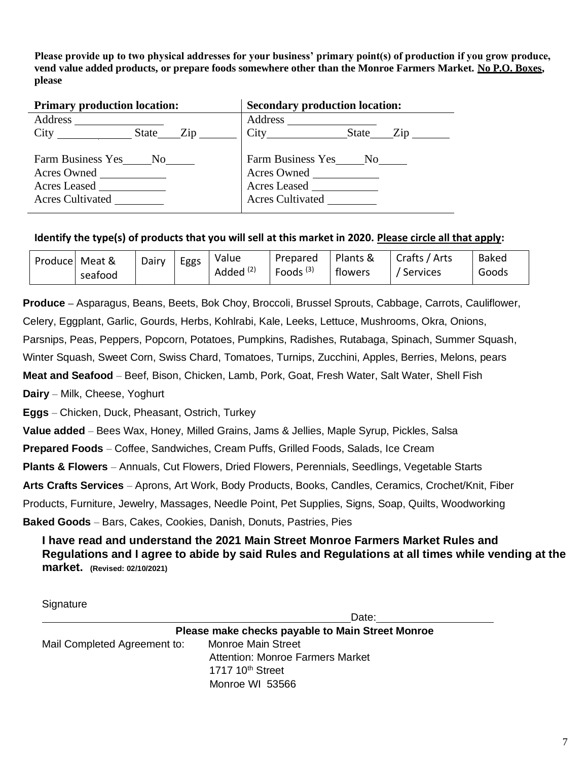**Please provide up to two physical addresses for your business' primary point(s) of production if you grow produce, vend value added products, or prepare foods somewhere other than the Monroe Farmers Market. No P.O. Boxes, please**

| <b>Primary production location:</b>                                     | <b>Secondary production location:</b>                                                |  |  |  |
|-------------------------------------------------------------------------|--------------------------------------------------------------------------------------|--|--|--|
|                                                                         | Address _________                                                                    |  |  |  |
| City State Zip                                                          |                                                                                      |  |  |  |
| Farm Business Yes No<br>Acres Owned<br>Acres Leased<br>Acres Cultivated | Farm Business Yes No No No<br>Acres Owned<br>Acres Leased<br><b>Acres Cultivated</b> |  |  |  |

#### **Identify the type(s) of products that you will sell at this market in 2020. Please circle all that apply:**

| Produce Meat & |         | Dairy | Eggs | Value                | Prepared             | Plants & | Crafts / Arts | <b>Baked</b> |
|----------------|---------|-------|------|----------------------|----------------------|----------|---------------|--------------|
|                | seafood |       |      | Added <sup>(2)</sup> | Foods <sup>(3)</sup> | flowers  | ' Services    | Goods        |

**Produce –** Asparagus, Beans, Beets, Bok Choy, Broccoli, Brussel Sprouts, Cabbage, Carrots, Cauliflower, Celery, Eggplant, Garlic, Gourds, Herbs, Kohlrabi, Kale, Leeks, Lettuce, Mushrooms, Okra, Onions, Parsnips, Peas, Peppers, Popcorn, Potatoes, Pumpkins, Radishes, Rutabaga, Spinach, Summer Squash,

Winter Squash, Sweet Corn, Swiss Chard, Tomatoes, Turnips, Zucchini, Apples, Berries, Melons, pears

**Meat and Seafood** – Beef, Bison, Chicken, Lamb, Pork, Goat, Fresh Water, Salt Water, Shell Fish

**Dairy** – Milk, Cheese, Yoghurt

**Eggs** – Chicken, Duck, Pheasant, Ostrich, Turkey

**Value added** – Bees Wax, Honey, Milled Grains, Jams & Jellies, Maple Syrup, Pickles, Salsa

**Prepared Foods** – Coffee, Sandwiches, Cream Puffs, Grilled Foods, Salads, Ice Cream

**Plants & Flowers** – Annuals, Cut Flowers, Dried Flowers, Perennials, Seedlings, Vegetable Starts

**Arts Crafts Services** – Aprons, Art Work, Body Products, Books, Candles, Ceramics, Crochet/Knit, Fiber

Products, Furniture, Jewelry, Massages, Needle Point, Pet Supplies, Signs, Soap, Quilts, Woodworking

**Baked Goods** – Bars, Cakes, Cookies, Danish, Donuts, Pastries, Pies

**I have read and understand the 2021 Main Street Monroe Farmers Market Rules and Regulations and I agree to abide by said Rules and Regulations at all times while vending at the market. (Revised: 02/10/2021)**

**Signature** 

Date:

**Please make checks payable to Main Street Monroe** Mail Completed Agreement to: Monroe Main Street Attention: Monroe Farmers Market 1717 10<sup>th</sup> Street Monroe WI 53566